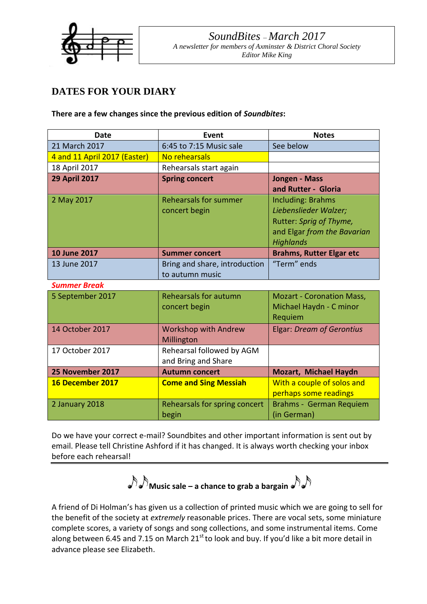

# **DATES FOR YOUR DIARY**

**There are a few changes since the previous edition of** *Soundbites***:**

| <b>Date</b>                  | Event                         | <b>Notes</b>                     |
|------------------------------|-------------------------------|----------------------------------|
| 21 March 2017                | 6:45 to 7:15 Music sale       | See below                        |
| 4 and 11 April 2017 (Easter) | No rehearsals                 |                                  |
| 18 April 2017                | Rehearsals start again        |                                  |
| <b>29 April 2017</b>         | <b>Spring concert</b>         | <b>Jongen - Mass</b>             |
|                              |                               | and Rutter - Gloria              |
| 2 May 2017                   | <b>Rehearsals for summer</b>  | <b>Including: Brahms</b>         |
|                              | concert begin                 | Liebenslieder Walzer;            |
|                              |                               | Rutter: Sprig of Thyme,          |
|                              |                               | and Elgar from the Bavarian      |
|                              |                               | <b>Highlands</b>                 |
| 10 June 2017                 | <b>Summer concert</b>         | <b>Brahms, Rutter Elgar etc</b>  |
| 13 June 2017                 | Bring and share, introduction | "Term" ends                      |
|                              | to autumn music               |                                  |
| <b>Summer Break</b>          |                               |                                  |
| 5 September 2017             | <b>Rehearsals for autumn</b>  | <b>Mozart - Coronation Mass,</b> |
|                              | concert begin                 | Michael Haydn - C minor          |
|                              |                               | Requiem                          |
| 14 October 2017              | <b>Workshop with Andrew</b>   | <b>Elgar: Dream of Gerontius</b> |
|                              | Millington                    |                                  |
| 17 October 2017              | Rehearsal followed by AGM     |                                  |
|                              | and Bring and Share           |                                  |
| 25 November 2017             | <b>Autumn concert</b>         | Mozart, Michael Haydn            |
| 16 December 2017             | <b>Come and Sing Messiah</b>  | With a couple of solos and       |
|                              |                               | perhaps some readings            |
| 2 January 2018               | Rehearsals for spring concert | Brahms - German Requiem          |
|                              | begin                         | (in German)                      |

Do we have your correct e-mail? Soundbites and other important information is sent out by email. Please tell Christine Ashford if it has changed. It is always worth checking your inbox before each rehearsal!

**Music sale – a chance to grab a bargain** 

A friend of Di Holman's has given us a collection of printed music which we are going to sell for the benefit of the society at *extremely* reasonable prices. There are vocal sets, some miniature complete scores, a variety of songs and song collections, and some instrumental items. Come along between 6.45 and 7.15 on March  $21<sup>st</sup>$  to look and buy. If you'd like a bit more detail in advance please see Elizabeth.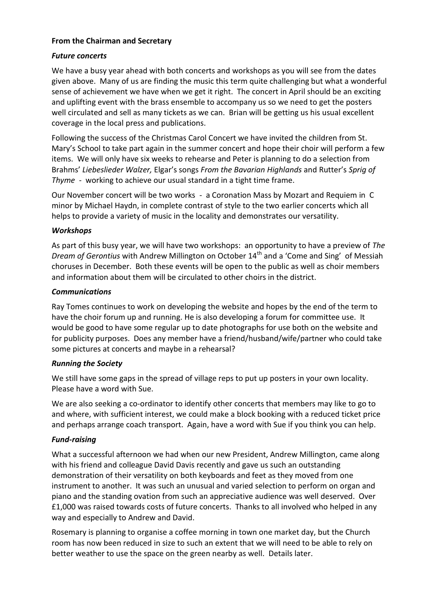# **From the Chairman and Secretary**

# *Future concerts*

We have a busy year ahead with both concerts and workshops as you will see from the dates given above. Many of us are finding the music this term quite challenging but what a wonderful sense of achievement we have when we get it right. The concert in April should be an exciting and uplifting event with the brass ensemble to accompany us so we need to get the posters well circulated and sell as many tickets as we can. Brian will be getting us his usual excellent coverage in the local press and publications.

Following the success of the Christmas Carol Concert we have invited the children from St. Mary's School to take part again in the summer concert and hope their choir will perform a few items. We will only have six weeks to rehearse and Peter is planning to do a selection from Brahms' *Liebeslieder Walzer,* Elgar's songs *From the Bavarian Highlands* and Rutter's *Sprig of Thyme* - working to achieve our usual standard in a tight time frame.

Our November concert will be two works - a Coronation Mass by Mozart and Requiem in C minor by Michael Haydn, in complete contrast of style to the two earlier concerts which all helps to provide a variety of music in the locality and demonstrates our versatility.

## *Workshops*

As part of this busy year, we will have two workshops: an opportunity to have a preview of *The Dream of Gerontius* with Andrew Millington on October 14<sup>th</sup> and a 'Come and Sing' of Messiah choruses in December. Both these events will be open to the public as well as choir members and information about them will be circulated to other choirs in the district.

# *Communications*

Ray Tomes continues to work on developing the website and hopes by the end of the term to have the choir forum up and running. He is also developing a forum for committee use. It would be good to have some regular up to date photographs for use both on the website and for publicity purposes. Does any member have a friend/husband/wife/partner who could take some pictures at concerts and maybe in a rehearsal?

## *Running the Society*

We still have some gaps in the spread of village reps to put up posters in your own locality. Please have a word with Sue.

We are also seeking a co-ordinator to identify other concerts that members may like to go to and where, with sufficient interest, we could make a block booking with a reduced ticket price and perhaps arrange coach transport. Again, have a word with Sue if you think you can help.

# *Fund-raising*

What a successful afternoon we had when our new President, Andrew Millington, came along with his friend and colleague David Davis recently and gave us such an outstanding demonstration of their versatility on both keyboards and feet as they moved from one instrument to another. It was such an unusual and varied selection to perform on organ and piano and the standing ovation from such an appreciative audience was well deserved. Over £1,000 was raised towards costs of future concerts. Thanks to all involved who helped in any way and especially to Andrew and David.

Rosemary is planning to organise a coffee morning in town one market day, but the Church room has now been reduced in size to such an extent that we will need to be able to rely on better weather to use the space on the green nearby as well. Details later.